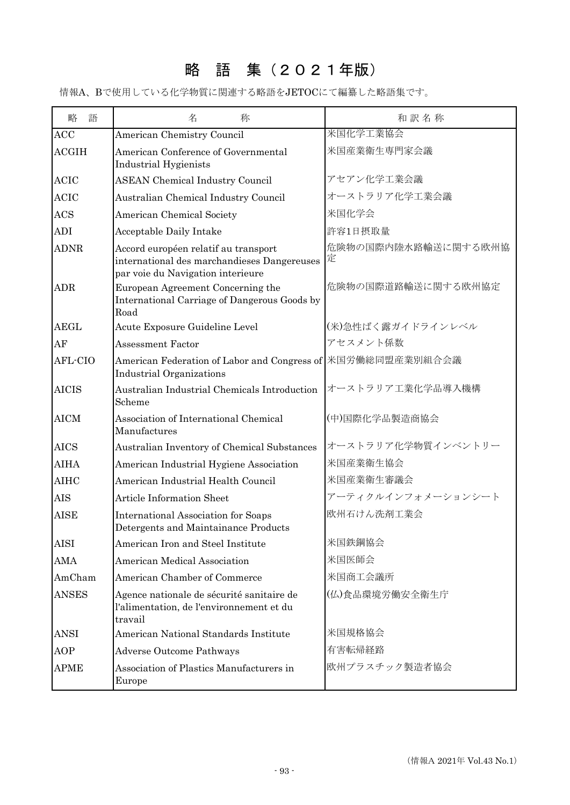## 略 語 集(2021年版)

情報A、Bで使用している化学物質に関連する略語をJETOCにて編纂した略語集です。

| 略<br>語       | 名<br>称                                                                                                                   | 和訳名称                     |
|--------------|--------------------------------------------------------------------------------------------------------------------------|--------------------------|
| ACC          | American Chemistry Council                                                                                               | 米国化学工業協会                 |
| <b>ACGIH</b> | American Conference of Governmental<br>Industrial Hygienists                                                             | 米国産業衛生専門家会議              |
| <b>ACIC</b>  | <b>ASEAN Chemical Industry Council</b>                                                                                   | アセアン化学工業会議               |
| <b>ACIC</b>  | Australian Chemical Industry Council                                                                                     | オーストラリア化学工業会議            |
| <b>ACS</b>   | American Chemical Society                                                                                                | 米国化学会                    |
| <b>ADI</b>   | Acceptable Daily Intake                                                                                                  | 許容1日摂取量                  |
| <b>ADNR</b>  | Accord européen relatif au transport<br>international des marchandieses Dangereuses<br>par voie du Navigation interieure | 危険物の国際内陸水路輸送に関する欧州協<br>定 |
| <b>ADR</b>   | European Agreement Concerning the<br>International Carriage of Dangerous Goods by<br>Road                                | 危険物の国際道路輸送に関する欧州協定       |
| <b>AEGL</b>  | Acute Exposure Guideline Level                                                                                           | (米)急性ばく露ガイドラインレベル        |
| AF           | <b>Assessment Factor</b>                                                                                                 | アセスメント係数                 |
| AFL-CIO      | American Federation of Labor and Congress of 米国労働総同盟産業別組合会議<br>Industrial Organizations                                  |                          |
| <b>AICIS</b> | Australian Industrial Chemicals Introduction<br>Scheme                                                                   | オーストラリア工業化学品導入機構         |
| <b>AICM</b>  | Association of International Chemical<br>Manufactures                                                                    | (中)国際化学品製造商協会            |
| <b>AICS</b>  | Australian Inventory of Chemical Substances                                                                              | オーストラリア化学物質インベントリー       |
| <b>AIHA</b>  | American Industrial Hygiene Association                                                                                  | 米国産業衛生協会                 |
| <b>AIHC</b>  | American Industrial Health Council                                                                                       | 米国産業衛生審議会                |
| <b>AIS</b>   | <b>Article Information Sheet</b>                                                                                         | アーティクルインフォメーションシート       |
| <b>AISE</b>  | International Association for Soaps<br>Detergents and Maintainance Products                                              | 欧州石けん洗剤工業会               |
| <b>AISI</b>  | American Iron and Steel Institute                                                                                        | 米国鉄鋼協会                   |
| AMA          | American Medical Association                                                                                             | 米国医師会                    |
| AmCham       | American Chamber of Commerce                                                                                             | 米国商工会議所                  |
| <b>ANSES</b> | Agence nationale de sécurité sanitaire de<br>l'alimentation, de l'environnement et du<br>travail                         | (仏)食品環境労働安全衛生庁           |
| <b>ANSI</b>  | American National Standards Institute                                                                                    | 米国規格協会                   |
| AOP          | <b>Adverse Outcome Pathways</b>                                                                                          | 有害転帰経路                   |
| <b>APME</b>  | Association of Plastics Manufacturers in<br>Europe                                                                       | 欧州プラスチック製造者協会            |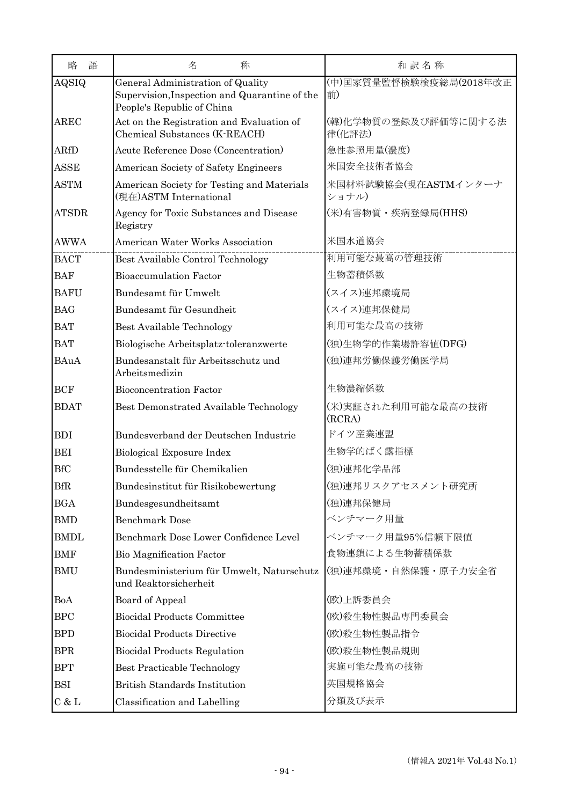| 語<br>略       | 名<br>称                                                                                                           | 和訳名称                           |
|--------------|------------------------------------------------------------------------------------------------------------------|--------------------------------|
| AQSIQ        | General Administration of Quality<br>Supervision, Inspection and Quarantine of the<br>People's Republic of China | (中)国家質量監督検験検疫総局(2018年改正<br>前)  |
| <b>AREC</b>  | Act on the Registration and Evaluation of<br>Chemical Substances (K-REACH)                                       | (韓)化学物質の登録及び評価等に関する法<br>律(化評法) |
| <b>ARfD</b>  | Acute Reference Dose (Concentration)                                                                             | 急性参照用量(濃度)                     |
| <b>ASSE</b>  | American Society of Safety Engineers                                                                             | 米国安全技術者協会                      |
| <b>ASTM</b>  | American Society for Testing and Materials<br>(現在)ASTM International                                             | 米国材料試験協会(現在ASTMインターナ<br>ショナル)  |
| <b>ATSDR</b> | Agency for Toxic Substances and Disease<br>Registry                                                              | (米)有害物質・疾病登録局(HHS)             |
| <b>AWWA</b>  | <b>American Water Works Association</b>                                                                          | 米国水道協会                         |
| <b>BACT</b>  | Best Available Control Technology                                                                                | 利用可能な最高の管理技術                   |
| <b>BAF</b>   | <b>Bioaccumulation Factor</b>                                                                                    | 生物蓄積係数                         |
| <b>BAFU</b>  | Bundesamt für Umwelt                                                                                             | (スイス)連邦環境局                     |
| <b>BAG</b>   | Bundesamt für Gesundheit                                                                                         | (スイス)連邦保健局                     |
| <b>BAT</b>   | <b>Best Available Technology</b>                                                                                 | 利用可能な最高の技術                     |
| <b>BAT</b>   | Biologische Arbeitsplatz-toleranzwerte                                                                           | (独)生物学的作業場許容値(DFG)             |
| <b>BAuA</b>  | Bundesanstalt für Arbeitsschutz und<br>Arbeitsmedizin                                                            | (独)連邦労働保護労働医学局                 |
| <b>BCF</b>   | <b>Bioconcentration Factor</b>                                                                                   | 生物濃縮係数                         |
| <b>BDAT</b>  | Best Demonstrated Available Technology                                                                           | (米)実証された利用可能な最高の技術<br>(RCRA)   |
| <b>BDI</b>   | Bundesverband der Deutschen Industrie                                                                            | ドイツ産業連盟                        |
| <b>BEI</b>   | Biological Exposure Index                                                                                        | 生物学的ばく露指標                      |
| <b>BfC</b>   | Bundesstelle für Chemikalien                                                                                     | (独)連邦化学品部                      |
| <b>BfR</b>   | Bundesinstitut für Risikobewertung                                                                               | (独)連邦リスクアセスメント研究所              |
| <b>BGA</b>   | Bundesgesundheitsamt                                                                                             | (独)連邦保健局                       |
| <b>BMD</b>   | <b>Benchmark Dose</b>                                                                                            | ベンチマーク用量                       |
| <b>BMDL</b>  | Benchmark Dose Lower Confidence Level                                                                            | ベンチマーク用量95%信頼下限値               |
| <b>BMF</b>   | <b>Bio Magnification Factor</b>                                                                                  | 食物連鎖による生物蓄積係数                  |
| <b>BMU</b>   | Bundesministerium für Umwelt, Naturschutz<br>und Reaktorsicherheit                                               | (独)連邦環境・自然保護・原子力安全省            |
| BoA          | <b>Board of Appeal</b>                                                                                           | (欧)上訴委員会                       |
| <b>BPC</b>   | <b>Biocidal Products Committee</b>                                                                               | (欧)殺生物性製品専門委員会                 |
| <b>BPD</b>   | <b>Biocidal Products Directive</b>                                                                               | (欧)殺生物性製品指令                    |
| <b>BPR</b>   | <b>Biocidal Products Regulation</b>                                                                              | (欧)殺生物性製品規則                    |
| <b>BPT</b>   | <b>Best Practicable Technology</b>                                                                               | 実施可能な最高の技術                     |
| <b>BSI</b>   | <b>British Standards Institution</b>                                                                             | 英国規格協会                         |
| C & L        | Classification and Labelling                                                                                     | 分類及び表示                         |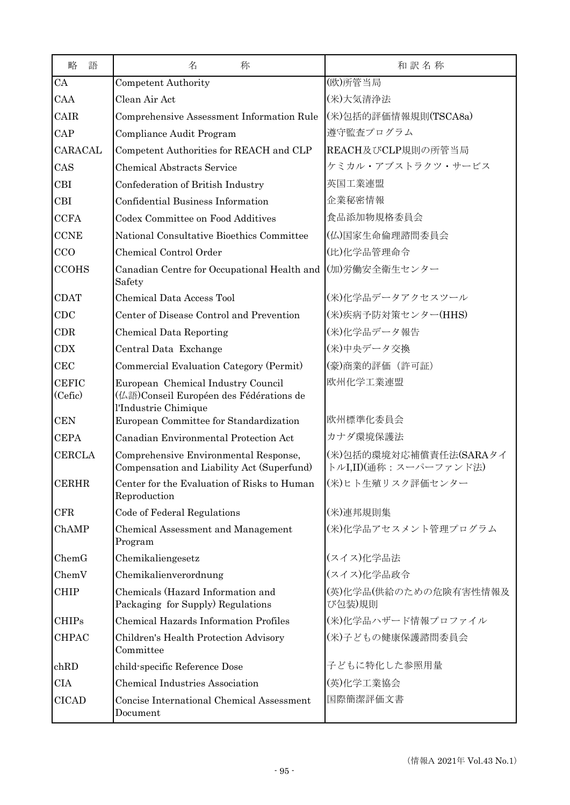| 略<br>語                  | 名<br>称                                                                                                | 和訳名称                                            |
|-------------------------|-------------------------------------------------------------------------------------------------------|-------------------------------------------------|
| CA                      | <b>Competent Authority</b>                                                                            | (欧)所管当局                                         |
| CAA                     | Clean Air Act                                                                                         | (米)大気清浄法                                        |
| CAIR                    | Comprehensive Assessment Information Rule                                                             | (米)包括的評価情報規則(TSCA8a)                            |
| CAP                     | Compliance Audit Program                                                                              | 遵守監査プログラム                                       |
| CARACAL                 | Competent Authorities for REACH and CLP                                                               | REACH及びCLP規則の所管当局                               |
| CAS                     | <b>Chemical Abstracts Service</b>                                                                     | ケミカル・アブストラクツ・サービス                               |
| <b>CBI</b>              | Confederation of British Industry                                                                     | 英国工業連盟                                          |
| <b>CBI</b>              | Confidential Business Information                                                                     | 企業秘密情報                                          |
| <b>CCFA</b>             | Codex Committee on Food Additives                                                                     | 食品添加物規格委員会                                      |
| <b>CCNE</b>             | National Consultative Bioethics Committee                                                             | (仏)国家生命倫理諮問委員会                                  |
| CCO                     | Chemical Control Order                                                                                | (比)化学品管理命令                                      |
| <b>CCOHS</b>            | Canadian Centre for Occupational Health and (加)労働安全衛生センター<br>Safety                                   |                                                 |
| <b>CDAT</b>             | <b>Chemical Data Access Tool</b>                                                                      | (米)化学品データアクセスツール                                |
| CDC                     | Center of Disease Control and Prevention                                                              | (米)疾病予防対策センター(HHS)                              |
| CDR                     | Chemical Data Reporting                                                                               | (米)化学品データ報告                                     |
| CDX                     | Central Data Exchange                                                                                 | (米)中央データ交換                                      |
| CEC                     | Commercial Evaluation Category (Permit)                                                               | (豪)商業的評価 (許可証)                                  |
| <b>CEFIC</b><br>(Cefic) | European Chemical Industry Council<br>(仏語)Conseil Européen des Fédérations de<br>l'Industrie Chimique | 欧州化学工業連盟                                        |
| <b>CEN</b>              | European Committee for Standardization                                                                | 欧州標準化委員会                                        |
| <b>CEPA</b>             | Canadian Environmental Protection Act                                                                 | カナダ環境保護法                                        |
| <b>CERCLA</b>           | Comprehensive Environmental Response,<br>Compensation and Liability Act (Superfund)                   | (米)包括的環境対応補償責任法(SARAタイ<br>トルI,II)(通称:スーパーファンド法) |
| <b>CERHR</b>            | Center for the Evaluation of Risks to Human<br>Reproduction                                           | (米)ヒト生殖リスク評価センター                                |
| CFR                     | Code of Federal Regulations                                                                           | (米)連邦規則集                                        |
| ChAMP                   | Chemical Assessment and Management<br>Program                                                         | (米)化学品アセスメント管理プログラム                             |
| ChemG                   | Chemikaliengesetz                                                                                     | (スイス)化学品法                                       |
| ChemV                   | Chemikalienverordnung                                                                                 | (スイス)化学品政令                                      |
| <b>CHIP</b>             | Chemicals (Hazard Information and<br>Packaging for Supply) Regulations                                | (英)化学品(供給のための危険有害性情報及<br>び包装)規則                 |
| <b>CHIPs</b>            | <b>Chemical Hazards Information Profiles</b>                                                          | (米)化学品ハザード情報プロファイル                              |
| <b>CHPAC</b>            | Children's Health Protection Advisory<br>Committee                                                    | (米)子どもの健康保護諮問委員会                                |
| chRD                    | child-specific Reference Dose                                                                         | 子どもに特化した参照用量                                    |
| <b>CIA</b>              | Chemical Industries Association                                                                       | (英)化学工業協会                                       |
| <b>CICAD</b>            | Concise International Chemical Assessment<br>Document                                                 | 国際簡潔評価文書                                        |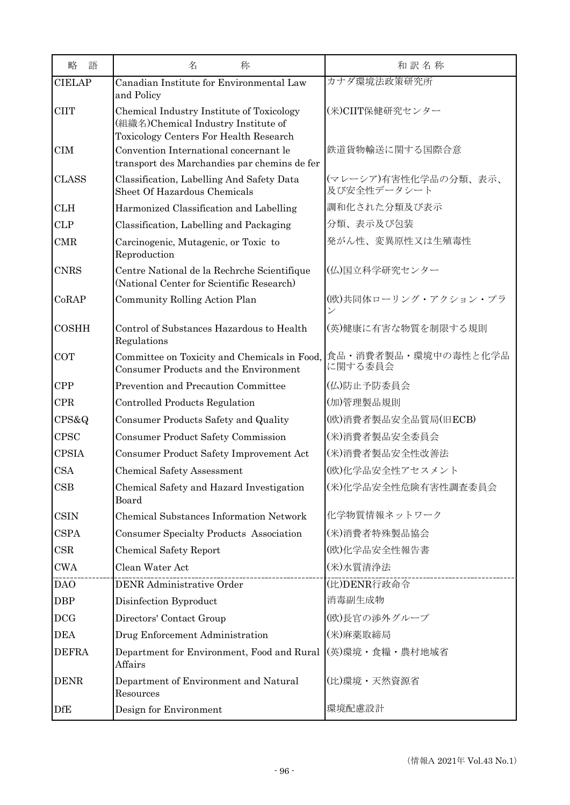| 語<br>略         | 名<br>称                                                                                                                     | 和訳名称                                             |
|----------------|----------------------------------------------------------------------------------------------------------------------------|--------------------------------------------------|
| <b>CIELAP</b>  | Canadian Institute for Environmental Law<br>and Policy                                                                     | カナダ環境法政策研究所                                      |
| <b>CIIT</b>    | Chemical Industry Institute of Toxicology<br>(組織名)Chemical Industry Institute of<br>Toxicology Centers For Health Research | (米)CIIT保健研究センター                                  |
| <b>CIM</b>     | Convention International concernant le<br>transport des Marchandies par chemins de fer                                     | 鉄道貨物輸送に関する国際合意                                   |
| <b>CLASS</b>   | Classification, Labelling And Safety Data<br>Sheet Of Hazardous Chemicals                                                  | (マレーシア)有害性化学品の分類、表示、<br>及び安全性データシート              |
| <b>CLH</b>     | Harmonized Classification and Labelling                                                                                    | 調和化された分類及び表示                                     |
| <b>CLP</b>     | Classification, Labelling and Packaging                                                                                    | 分類、表示及び包装                                        |
| <b>CMR</b>     | Carcinogenic, Mutagenic, or Toxic to<br>Reproduction                                                                       | 発がん性、変異原性又は生殖毒性                                  |
| <b>CNRS</b>    | Centre National de la Rechrche Scientifique<br>(National Center for Scientific Research)                                   | (仏)国立科学研究センター                                    |
| CoRAP          | Community Rolling Action Plan                                                                                              | (欧)共同体ローリング・アクション・プラ<br>$\overline{\mathscr{S}}$ |
| <b>COSHH</b>   | Control of Substances Hazardous to Health<br>Regulations                                                                   | (英)健康に有害な物質を制限する規則                               |
| <b>COT</b>     | Committee on Toxicity and Chemicals in Food,<br>Consumer Products and the Environment                                      | 食品・消費者製品・環境中の毒性と化学品<br>に関する委員会                   |
| <b>CPP</b>     | Prevention and Precaution Committee                                                                                        | (仏)防止予防委員会                                       |
| <b>CPR</b>     | Controlled Products Regulation                                                                                             | (加)管理製品規則                                        |
| $CPS\&Q$       | Consumer Products Safety and Quality                                                                                       | (欧)消費者製品安全品質局(旧ECB)                              |
| <b>CPSC</b>    | <b>Consumer Product Safety Commission</b>                                                                                  | (米)消費者製品安全委員会                                    |
| <b>CPSIA</b>   | Consumer Product Safety Improvement Act                                                                                    | (米)消費者製品安全性改善法                                   |
| <b>CSA</b>     | Chemical Safety Assessment                                                                                                 | (欧)化学品安全性アセスメント                                  |
| $\mathbf{CSB}$ | Chemical Safety and Hazard Investigation<br>Board                                                                          | (米)化学品安全性危険有害性調査委員会                              |
| <b>CSIN</b>    | Chemical Substances Information Network                                                                                    | 化学物質情報ネットワーク                                     |
| <b>CSPA</b>    | Consumer Specialty Products Association                                                                                    | (米)消費者特殊製品協会                                     |
| CSR            | <b>Chemical Safety Report</b>                                                                                              | (欧)化学品安全性報告書                                     |
| <b>CWA</b>     | Clean Water Act                                                                                                            | (米)水質清浄法                                         |
| <b>DAO</b>     | DENR Administrative Order                                                                                                  | (比)DENR行政命令                                      |
| <b>DBP</b>     | Disinfection Byproduct                                                                                                     | 消毒副生成物                                           |
| <b>DCG</b>     | Directors' Contact Group                                                                                                   | (欧)長官の渉外グループ                                     |
| <b>DEA</b>     | Drug Enforcement Administration                                                                                            | (米)麻薬取締局                                         |
| <b>DEFRA</b>   | Department for Environment, Food and Rural<br>Affairs                                                                      | (英)環境・食糧・農村地域省                                   |
| <b>DENR</b>    | Department of Environment and Natural<br>Resources                                                                         | (比)環境・天然資源省                                      |
| <b>DfE</b>     | Design for Environment                                                                                                     | 環境配慮設計                                           |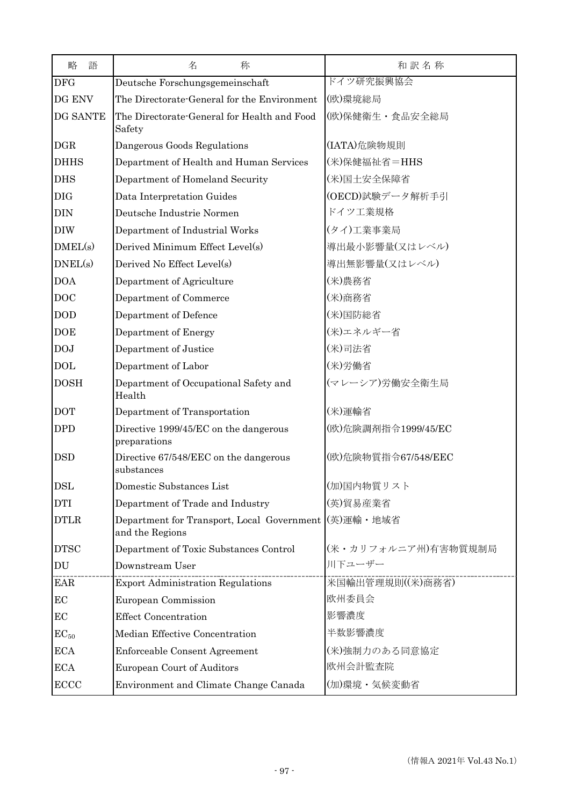| 語<br>略      | 名<br>称                                                        | 和訳名称                |
|-------------|---------------------------------------------------------------|---------------------|
| <b>DFG</b>  | Deutsche Forschungsgemeinschaft                               | ドイツ研究振興協会           |
| DG ENV      | The Directorate-General for the Environment                   | (欧)環境総局             |
| DG SANTE    | The Directorate-General for Health and Food<br>Safety         | (欧)保健衛生·食品安全総局      |
| <b>DGR</b>  | Dangerous Goods Regulations                                   | (IATA)危険物規則         |
| <b>DHHS</b> | Department of Health and Human Services                       | (米)保健福祉省=HHS        |
| <b>DHS</b>  | Department of Homeland Security                               | (米)国土安全保障省          |
| <b>DIG</b>  | Data Interpretation Guides                                    | (OECD)試験データ解析手引     |
| <b>DIN</b>  | Deutsche Industrie Normen                                     | ドイツ工業規格             |
| <b>DIW</b>  | Department of Industrial Works                                | (タイ)工業事業局           |
| DMEL(s)     | Derived Minimum Effect Level(s)                               | 導出最小影響量(又はレベル)      |
| DNEL(s)     | Derived No Effect Level(s)                                    | 導出無影響量(又はレベル)       |
| <b>DOA</b>  | Department of Agriculture                                     | (米)農務省              |
| <b>DOC</b>  | Department of Commerce                                        | (米)商務省              |
| <b>DOD</b>  | Department of Defence                                         | (米)国防総省             |
| <b>DOE</b>  | Department of Energy                                          | (米)エネルギー省           |
| <b>DOJ</b>  | Department of Justice                                         | (米)司法省              |
| <b>DOL</b>  | Department of Labor                                           | (米)労働省              |
| <b>DOSH</b> | Department of Occupational Safety and<br>Health               | (マレーシア)労働安全衛生局      |
| <b>DOT</b>  | Department of Transportation                                  | (米)運輸省              |
| <b>DPD</b>  | Directive 1999/45/EC on the dangerous<br>preparations         | (欧)危険調剤指令1999/45/EC |
| <b>DSD</b>  | Directive 67/548/EEC on the dangerous<br>substances           | (欧)危険物質指令67/548/EEC |
| <b>DSL</b>  | Domestic Substances List                                      | (加)国内物質リスト          |
| <b>DTI</b>  | Department of Trade and Industry                              | (英)貿易産業省            |
| <b>DTLR</b> | Department for Transport, Local Government<br>and the Regions | (英)運輸·地域省           |
| <b>DTSC</b> | Department of Toxic Substances Control                        | (米・カリフォルニア州)有害物質規制局 |
| DU          | Downstream User                                               | 川下ユーザー              |
| <b>EAR</b>  | <b>Export Administration Regulations</b>                      | 米国輸出管理規則((米)商務省)    |
| EC          | European Commission                                           | 欧州委員会               |
| EC          | <b>Effect Concentration</b>                                   | 影響濃度                |
| $EC_{50}$   | Median Effective Concentration                                | 半数影響濃度              |
| <b>ECA</b>  | Enforceable Consent Agreement                                 | (米)強制力のある同意協定       |
| <b>ECA</b>  | European Court of Auditors                                    | 欧州会計監査院             |
| ECCC        | Environment and Climate Change Canada                         | (加)環境·気候変動省         |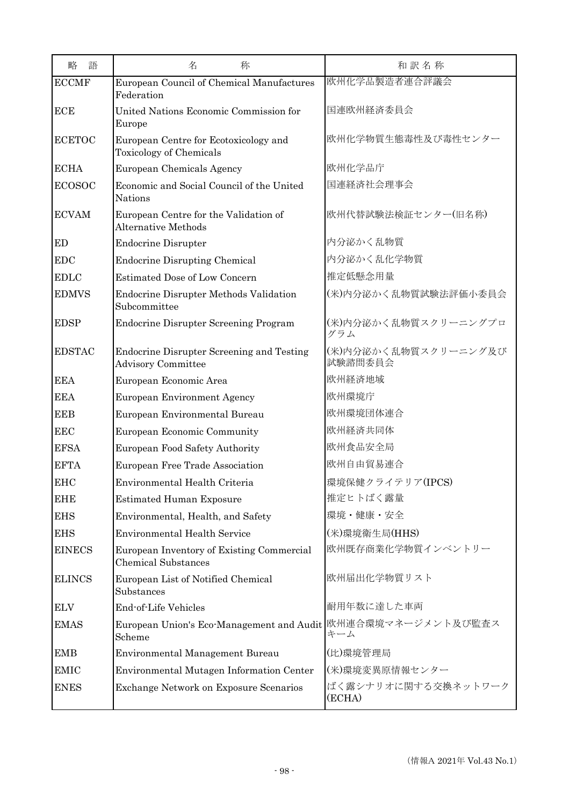| 語<br>略        | 名<br>称                                                                        | 和訳名称                            |
|---------------|-------------------------------------------------------------------------------|---------------------------------|
| <b>ECCMF</b>  | European Council of Chemical Manufactures<br>Federation                       | 欧州化学品製造者連合評議会                   |
| <b>ECE</b>    | United Nations Economic Commission for<br>Europe                              | 国連欧州経済委員会                       |
| <b>ECETOC</b> | European Centre for Ecotoxicology and<br><b>Toxicology of Chemicals</b>       | 欧州化学物質生態毒性及び毒性センター              |
| <b>ECHA</b>   | European Chemicals Agency                                                     | 欧州化学品庁                          |
| <b>ECOSOC</b> | Economic and Social Council of the United<br><b>Nations</b>                   | 国連経済社会理事会                       |
| <b>ECVAM</b>  | European Centre for the Validation of<br>Alternative Methods                  | 欧州代替試験法検証センター(旧名称)              |
| ED            | <b>Endocrine Disrupter</b>                                                    | 内分泌かく乱物質                        |
| <b>EDC</b>    | <b>Endocrine Disrupting Chemical</b>                                          | 内分泌かく乱化学物質                      |
| <b>EDLC</b>   | <b>Estimated Dose of Low Concern</b>                                          | 推定低懸念用量                         |
| <b>EDMVS</b>  | <b>Endocrine Disrupter Methods Validation</b><br>Subcommittee                 | (米)内分泌かく乱物質試験法評価小委員会            |
| <b>EDSP</b>   | <b>Endocrine Disrupter Screening Program</b>                                  | (米)内分泌かく乱物質スクリーニングプロ<br>グラム     |
| <b>EDSTAC</b> | <b>Endocrine Disrupter Screening and Testing</b><br><b>Advisory Committee</b> | (米)内分泌かく乱物質スクリーニング及び<br>試験諮問委員会 |
| <b>EEA</b>    | European Economic Area                                                        | 欧州経済地域                          |
| <b>EEA</b>    | <b>European Environment Agency</b>                                            | 欧州環境庁                           |
| <b>EEB</b>    | European Environmental Bureau                                                 | 欧州環境団体連合                        |
| <b>EEC</b>    | European Economic Community                                                   | 欧州経済共同体                         |
| <b>EFSA</b>   | <b>European Food Safety Authority</b>                                         | 欧州食品安全局                         |
| <b>EFTA</b>   | European Free Trade Association                                               | 欧州自由貿易連合                        |
| <b>EHC</b>    | Environmental Health Criteria                                                 | 環境保健クライテリア(IPCS)                |
| <b>EHE</b>    | <b>Estimated Human Exposure</b>                                               | 推定ヒトばく露量                        |
| <b>EHS</b>    | Environmental, Health, and Safety                                             | 環境・健康・安全                        |
| <b>EHS</b>    | <b>Environmental Health Service</b>                                           | (米)環境衛生局(HHS)                   |
| <b>EINECS</b> | European Inventory of Existing Commercial<br><b>Chemical Substances</b>       | 欧州既存商業化学物質インベントリー               |
| <b>ELINCS</b> | European List of Notified Chemical<br>Substances                              | 欧州届出化学物質リスト                     |
| <b>ELV</b>    | End-of-Life Vehicles                                                          | 耐用年数に達した車両                      |
| <b>EMAS</b>   | European Union's Eco-Management and Audit<br>Scheme                           | 欧州連合環境マネージメント及び監査ス<br>キーム       |
| <b>EMB</b>    | Environmental Management Bureau                                               | (比)環境管理局                        |
| <b>EMIC</b>   | Environmental Mutagen Information Center                                      | (米)環境変異原情報センター                  |
| <b>ENES</b>   | <b>Exchange Network on Exposure Scenarios</b>                                 | ばく露シナリオに関する交換ネットワーク<br>(ECHA)   |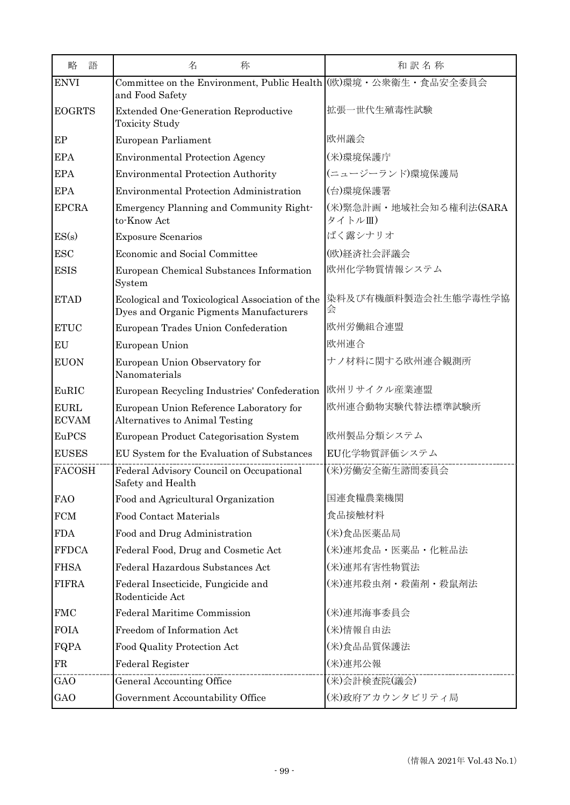| 語<br>略                      | 名<br>称                                                                                     | 和訳名称                             |
|-----------------------------|--------------------------------------------------------------------------------------------|----------------------------------|
| <b>ENVI</b>                 | Committee on the Environment, Public Health (欧)環境·公衆衛生·食品安全委員会<br>and Food Safety          |                                  |
| <b>EOGRTS</b>               | <b>Extended One-Generation Reproductive</b><br><b>Toxicity Study</b>                       | 拡張一世代生殖毒性試験                      |
| EP                          | European Parliament                                                                        | 欧州議会                             |
| <b>EPA</b>                  | <b>Environmental Protection Agency</b>                                                     | (米)環境保護庁                         |
| <b>EPA</b>                  | <b>Environmental Protection Authority</b>                                                  | (ニュージーランド)環境保護局                  |
| <b>EPA</b>                  | <b>Environmental Protection Administration</b>                                             | (台)環境保護署                         |
| <b>EPCRA</b>                | Emergency Planning and Community Right-<br>to-Know Act                                     | (米)緊急計画・地域社会知る権利法(SARA<br>タイトルⅢ) |
| ES(s)                       | <b>Exposure Scenarios</b>                                                                  | ばく露シナリオ                          |
| <b>ESC</b>                  | Economic and Social Committee                                                              | (欧)経済社会評議会                       |
| <b>ESIS</b>                 | European Chemical Substances Information<br>System                                         | 欧州化学物質情報システム                     |
| <b>ETAD</b>                 | Ecological and Toxicological Association of the<br>Dyes and Organic Pigments Manufacturers | 染料及び有機顔料製造会社生態学毒性学協<br>会         |
| <b>ETUC</b>                 | European Trades Union Confederation                                                        | 欧州労働組合連盟                         |
| EU                          | European Union                                                                             | 欧州連合                             |
| <b>EUON</b>                 | European Union Observatory for<br>Nanomaterials                                            | ナノ材料に関する欧州連合観測所                  |
| EuRIC                       | European Recycling Industries' Confederation                                               | 欧州リサイクル産業連盟                      |
| <b>EURL</b><br><b>ECVAM</b> | European Union Reference Laboratory for<br>Alternatives to Animal Testing                  | 欧州連合動物実験代替法標準試験所                 |
| EuPCS                       | European Product Categorisation System                                                     | 欧州製品分類システム                       |
| <b>EUSES</b>                | EU System for the Evaluation of Substances                                                 | EU化学物質評価システム                     |
| <b>FACOSH</b>               | Federal Advisory Council on Occupational<br>Safety and Health                              | (米)労働安全衛生諮問委員会                   |
| <b>FAO</b>                  | Food and Agricultural Organization                                                         | 国連食糧農業機関                         |
| ${\rm FCM}$                 | <b>Food Contact Materials</b>                                                              | 食品接触材料                           |
| <b>FDA</b>                  | Food and Drug Administration                                                               | (米)食品医薬品局                        |
| <b>FFDCA</b>                | Federal Food, Drug and Cosmetic Act                                                        | (米)連邦食品·医薬品·化粧品法                 |
| <b>FHSA</b>                 | Federal Hazardous Substances Act                                                           | (米)連邦有害性物質法                      |
| <b>FIFRA</b>                | Federal Insecticide, Fungicide and<br>Rodenticide Act                                      | (米)連邦殺虫剤·殺菌剤·殺鼠剤法                |
| <b>FMC</b>                  | Federal Maritime Commission                                                                | (米)連邦海事委員会                       |
| <b>FOIA</b>                 | Freedom of Information Act                                                                 | (米)情報自由法                         |
| FQPA                        | Food Quality Protection Act                                                                | (米)食品品質保護法                       |
| ${\rm FR}$                  | Federal Register                                                                           | (米)連邦公報                          |
| GAO                         | General Accounting Office                                                                  | (米)会計検査院(議会)                     |
| GAO                         | Government Accountability Office                                                           | (米)政府アカウンタビリティ局                  |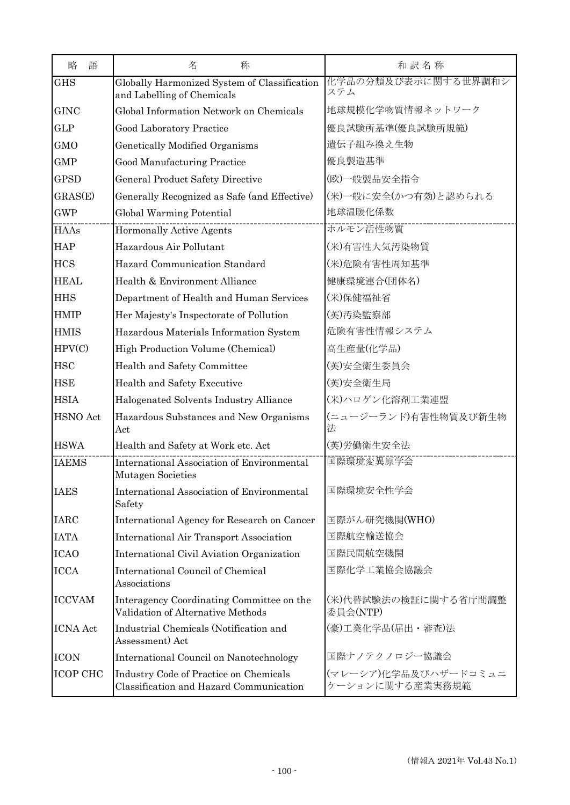| 語<br>略          | 名<br>称                                                                            | 和訳名称                                    |
|-----------------|-----------------------------------------------------------------------------------|-----------------------------------------|
| <b>GHS</b>      | Globally Harmonized System of Classification<br>and Labelling of Chemicals        | 化学品の分類及び表示に関する世界調和シ<br>ステム              |
| <b>GINC</b>     | Global Information Network on Chemicals                                           | 地球規模化学物質情報ネットワーク                        |
| <b>GLP</b>      | Good Laboratory Practice                                                          | 優良試験所基準(優良試験所規範)                        |
| GMO             | Genetically Modified Organisms                                                    | 遺伝子組み換え生物                               |
| <b>GMP</b>      | Good Manufacturing Practice                                                       | 優良製造基準                                  |
| <b>GPSD</b>     | <b>General Product Safety Directive</b>                                           | (欧)一般製品安全指令                             |
| GRAS(E)         | Generally Recognized as Safe (and Effective)                                      | (米)一般に安全(かつ有効)と認められる                    |
| <b>GWP</b>      | Global Warming Potential                                                          | 地球温暖化係数                                 |
| <b>HAAs</b>     | <b>Hormonally Active Agents</b>                                                   | ホルモン活性物質                                |
| <b>HAP</b>      | Hazardous Air Pollutant                                                           | (米)有害性大気汚染物質                            |
| <b>HCS</b>      | Hazard Communication Standard                                                     | (米)危険有害性周知基準                            |
| <b>HEAL</b>     | Health & Environment Alliance                                                     | 健康環境連合(団体名)                             |
| <b>HHS</b>      | Department of Health and Human Services                                           | (米)保健福祉省                                |
| <b>HMIP</b>     | Her Majesty's Inspectorate of Pollution                                           | (英)汚染監察部                                |
| <b>HMIS</b>     | Hazardous Materials Information System                                            | 危険有害性情報システム                             |
| HPV(C)          | High Production Volume (Chemical)                                                 | 高生産量(化学品)                               |
| <b>HSC</b>      | Health and Safety Committee                                                       | (英)安全衛生委員会                              |
| <b>HSE</b>      | Health and Safety Executive                                                       | (英)安全衛生局                                |
| <b>HSIA</b>     | Halogenated Solvents Industry Alliance                                            | (米)ハロゲン化溶剤工業連盟                          |
| HSNO Act        | Hazardous Substances and New Organisms<br>Act                                     | (ニュージーランド)有害性物質及び新生物<br>法               |
| <b>HSWA</b>     | Health and Safety at Work etc. Act                                                | (英)労働衛生安全法                              |
| <b>IAEMS</b>    | International Association of Environmental<br>Mutagen Societies                   | 国際環境変異原学会                               |
| <b>IAES</b>     | International Association of Environmental<br>Safety                              | 国際環境安全性学会                               |
| <b>IARC</b>     | International Agency for Research on Cancer                                       | 国際がん研究機関(WHO)                           |
| <b>IATA</b>     | <b>International Air Transport Association</b>                                    | 国際航空輸送協会                                |
| <b>ICAO</b>     | International Civil Aviation Organization                                         | 国際民間航空機関                                |
| <b>ICCA</b>     | International Council of Chemical<br>Associations                                 | 国際化学工業協会協議会                             |
| <b>ICCVAM</b>   | Interagency Coordinating Committee on the<br>Validation of Alternative Methods    | (米)代替試験法の検証に関する省庁間調整<br>委員会(NTP)        |
| <b>ICNA</b> Act | Industrial Chemicals (Notification and<br>Assessment) Act                         | (豪)工業化学品(届出·審査)法                        |
| <b>ICON</b>     | International Council on Nanotechnology                                           | 国際ナノテクノロジー協議会                           |
| <b>ICOP CHC</b> | Industry Code of Practice on Chemicals<br>Classification and Hazard Communication | (マレーシア)化学品及びハザードコミュニ<br>ケーションに関する産業実務規範 |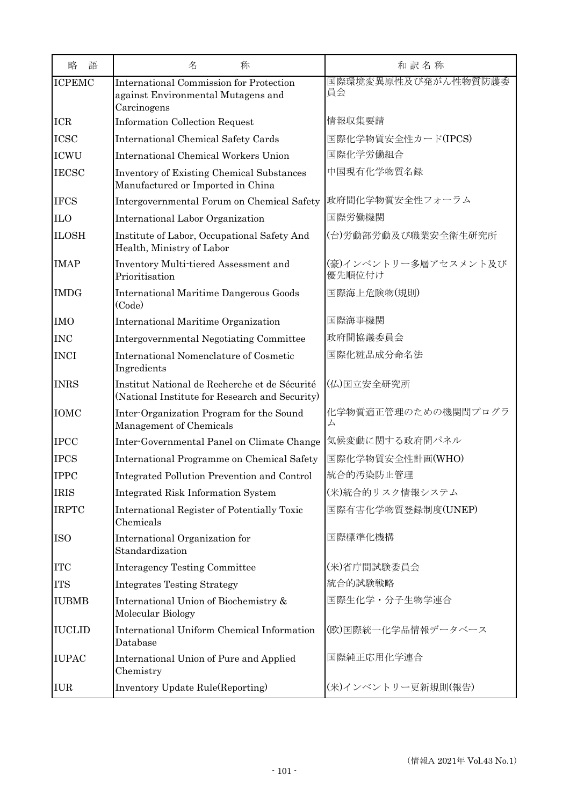| 略<br>語          | 名<br>称                                                                                              | 和訳名称                            |
|-----------------|-----------------------------------------------------------------------------------------------------|---------------------------------|
| ICPEMC          | <b>International Commission for Protection</b><br>against Environmental Mutagens and<br>Carcinogens | 国際環境変異原性及び発がん性物質防護委<br>員会       |
| <b>ICR</b>      | <b>Information Collection Request</b>                                                               | 情報収集要請                          |
| <b>ICSC</b>     | <b>International Chemical Safety Cards</b>                                                          | 国際化学物質安全性カード(IPCS)              |
| <b>ICWU</b>     | <b>International Chemical Workers Union</b>                                                         | 国際化学労働組合                        |
| <b>IECSC</b>    | <b>Inventory of Existing Chemical Substances</b><br>Manufactured or Imported in China               | 中国現有化学物質名録                      |
| <b>IFCS</b>     | Intergovernmental Forum on Chemical Safety                                                          | 政府間化学物質安全性フォーラム                 |
| IL <sub>0</sub> | International Labor Organization                                                                    | 国際労働機関                          |
| <b>ILOSH</b>    | Institute of Labor, Occupational Safety And<br>Health, Ministry of Labor                            | (台)労動部労動及び職業安全衛生研究所             |
| <b>IMAP</b>     | Inventory Multi-tiered Assessment and<br>Prioritisation                                             | (豪)インベントリー多層アセスメント及び<br>優先順位付け  |
| <b>IMDG</b>     | <b>International Maritime Dangerous Goods</b><br>(Code)                                             | 国際海上危険物(規則)                     |
| <b>IMO</b>      | International Maritime Organization                                                                 | 国際海事機関                          |
| <b>INC</b>      | Intergovernmental Negotiating Committee                                                             | 政府間協議委員会                        |
| <b>INCI</b>     | International Nomenclature of Cosmetic<br>Ingredients                                               | 国際化粧品成分命名法                      |
| <b>INRS</b>     | Institut National de Recherche et de Sécurité<br>(National Institute for Research and Security)     | (仏)国立安全研究所                      |
| <b>IOMC</b>     | Inter-Organization Program for the Sound<br>Management of Chemicals                                 | 化学物質適正管理のための機関間プログラ<br>$\Delta$ |
| <b>IPCC</b>     | Inter-Governmental Panel on Climate Change                                                          | 気候変動に関する政府間パネル                  |
| <b>IPCS</b>     | International Programme on Chemical Safety                                                          | 国際化学物質安全性計画(WHO)                |
| <b>IPPC</b>     | Integrated Pollution Prevention and Control                                                         | 統合的汚染防止管理                       |
| <b>IRIS</b>     | <b>Integrated Risk Information System</b>                                                           | (米)統合的リスク情報システム                 |
| <b>IRPTC</b>    | International Register of Potentially Toxic<br>Chemicals                                            | 国際有害化学物質登録制度(UNEP)              |
| <b>ISO</b>      | International Organization for<br>Standardization                                                   | 国際標準化機構                         |
| <b>ITC</b>      | <b>Interagency Testing Committee</b>                                                                | (米)省庁間試験委員会                     |
| <b>ITS</b>      | <b>Integrates Testing Strategy</b>                                                                  | 統合的試験戦略                         |
| <b>IUBMB</b>    | International Union of Biochemistry &<br>Molecular Biology                                          | 国際生化学·分子生物学連合                   |
| <b>IUCLID</b>   | International Uniform Chemical Information<br>Database                                              | (欧)国際統一化学品情報データベース              |
| <b>IUPAC</b>    | International Union of Pure and Applied<br>Chemistry                                                | 国際純正応用化学連合                      |
| <b>IUR</b>      | Inventory Update Rule(Reporting)                                                                    | (米)インベントリー更新規則(報告)              |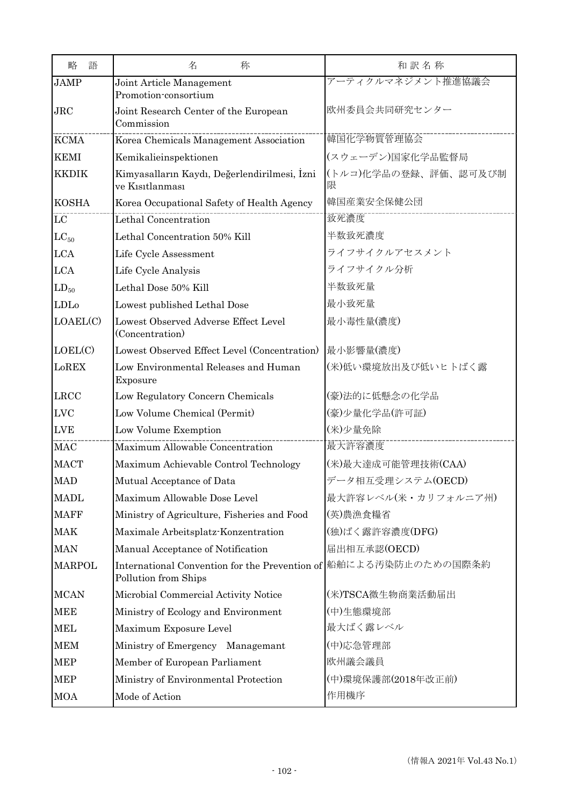| 語<br>略        | 名<br>称                                                                                   | 和訳名称                      |
|---------------|------------------------------------------------------------------------------------------|---------------------------|
| <b>JAMP</b>   | Joint Article Management<br>Promotion-consortium                                         | アーティクルマネジメント推進協議会         |
| JRC           | Joint Research Center of the European<br>Commission                                      | 欧州委員会共同研究センター             |
| <b>KCMA</b>   | Korea Chemicals Management Association                                                   | 韓国化学物質管理協会                |
| <b>KEMI</b>   | Kemikalieinspektionen                                                                    | (スウェーデン)国家化学品監督局          |
| <b>KKDIK</b>  | Kimyasalların Kaydı, Değerlendirilmesi, Izni<br>ve Kısıtlanması                          | (トルコ)化学品の登録、評価、認可及び制<br>限 |
| <b>KOSHA</b>  | Korea Occupational Safety of Health Agency                                               | 韓国産業安全保健公団                |
| $_{\rm LC}$   | Lethal Concentration                                                                     | 致死濃度                      |
| $LC_{50}$     | Lethal Concentration 50% Kill                                                            | 半数致死濃度                    |
| <b>LCA</b>    | Life Cycle Assessment                                                                    | ライフサイクルアセスメント             |
| <b>LCA</b>    | Life Cycle Analysis                                                                      | ライフサイクル分析                 |
| $LD_{50}$     | Lethal Dose 50% Kill                                                                     | 半数致死量                     |
| LDLo          | Lowest published Lethal Dose                                                             | 最小致死量                     |
| LOAEL(C)      | Lowest Observed Adverse Effect Level<br>(Concentration)                                  | 最小毒性量(濃度)                 |
| LOEL(C)       | Lowest Observed Effect Level (Concentration)                                             | 最小影響量(濃度)                 |
| LoREX         | Low Environmental Releases and Human<br>Exposure                                         | (米)低い環境放出及び低いヒトばく露        |
| <b>LRCC</b>   | Low Regulatory Concern Chemicals                                                         | (豪)法的に低懸念の化学品             |
| <b>LVC</b>    | Low Volume Chemical (Permit)                                                             | (豪)少量化学品(許可証)             |
| <b>LVE</b>    | Low Volume Exemption                                                                     | (米)少量免除                   |
| <b>MAC</b>    | Maximum Allowable Concentration                                                          | 最大許容濃度                    |
| <b>MACT</b>   | Maximum Achievable Control Technology                                                    | (米)最大達成可能管理技術(CAA)        |
| <b>MAD</b>    | Mutual Acceptance of Data                                                                | データ相互受理システム(OECD)         |
| <b>MADL</b>   | Maximum Allowable Dose Level                                                             | 最大許容レベル(米・カリフォルニア州)       |
| <b>MAFF</b>   | Ministry of Agriculture, Fisheries and Food                                              | (英)農漁食糧省                  |
| <b>MAK</b>    | Maximale Arbeitsplatz-Konzentration                                                      | (独)ばく露許容濃度(DFG)           |
| <b>MAN</b>    | Manual Acceptance of Notification                                                        | 届出相互承認(OECD)              |
| <b>MARPOL</b> | International Convention for the Prevention of 船舶による汚染防止のための国際条約<br>Pollution from Ships |                           |
| <b>MCAN</b>   | Microbial Commercial Activity Notice                                                     | (米)TSCA微生物商業活動届出          |
| <b>MEE</b>    | Ministry of Ecology and Environment                                                      | (中)生態環境部                  |
| <b>MEL</b>    | Maximum Exposure Level                                                                   | 最大ばく露レベル                  |
| <b>MEM</b>    | Ministry of Emergency Managemant                                                         | (中)応急管理部                  |
| MEP           | Member of European Parliament                                                            | 欧州議会議員                    |
| <b>MEP</b>    | Ministry of Environmental Protection                                                     | (中)環境保護部(2018年改正前)        |
| <b>MOA</b>    | Mode of Action                                                                           | 作用機序                      |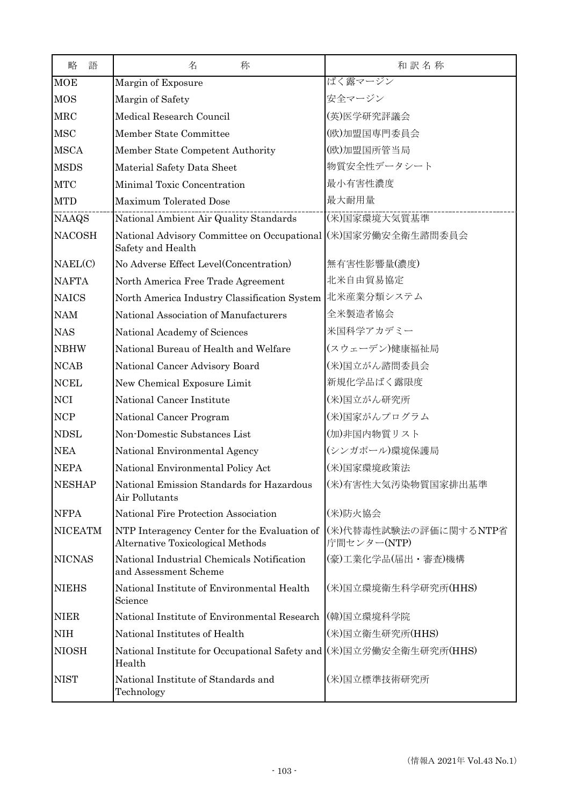| 略<br>語         | 名<br>称                                                                            | 和訳名称                                 |
|----------------|-----------------------------------------------------------------------------------|--------------------------------------|
| <b>MOE</b>     | Margin of Exposure                                                                | ばく露マージン                              |
| <b>MOS</b>     | Margin of Safety                                                                  | 安全マージン                               |
| <b>MRC</b>     | Medical Research Council                                                          | (英)医学研究評議会                           |
| <b>MSC</b>     | Member State Committee                                                            | (欧)加盟国専門委員会                          |
| <b>MSCA</b>    | Member State Competent Authority                                                  | (欧)加盟国所管当局                           |
| <b>MSDS</b>    | Material Safety Data Sheet                                                        | 物質安全性データシート                          |
| <b>MTC</b>     | Minimal Toxic Concentration                                                       | 最小有害性濃度                              |
| <b>MTD</b>     | <b>Maximum Tolerated Dose</b>                                                     | 最大耐用量                                |
| <b>NAAQS</b>   | National Ambient Air Quality Standards                                            | (米)国家環境大気質基準                         |
| <b>NACOSH</b>  | National Advisory Committee on Occupational (米)国家労働安全衛生諮問委員会<br>Safety and Health |                                      |
| NAEL(C)        | No Adverse Effect Level(Concentration)                                            | 無有害性影響量(濃度)                          |
| <b>NAFTA</b>   | North America Free Trade Agreement                                                | 北米自由貿易協定                             |
| <b>NAICS</b>   | North America Industry Classification System                                      | 北米産業分類システム                           |
| <b>NAM</b>     | National Association of Manufacturers                                             | 全米製造者協会                              |
| <b>NAS</b>     | National Academy of Sciences                                                      | 米国科学アカデミー                            |
| <b>NBHW</b>    | National Bureau of Health and Welfare                                             | (スウェーデン)健康福祉局                        |
| <b>NCAB</b>    | National Cancer Advisory Board                                                    | (米)国立がん諮問委員会                         |
| <b>NCEL</b>    | New Chemical Exposure Limit                                                       | 新規化学品ばく露限度                           |
| <b>NCI</b>     | National Cancer Institute                                                         | (米)国立がん研究所                           |
| NCP            | National Cancer Program                                                           | (米)国家がんプログラム                         |
| <b>NDSL</b>    | Non-Domestic Substances List                                                      | (加)非国内物質リスト                          |
| <b>NEA</b>     | National Environmental Agency                                                     | (シンガポール)環境保護局                        |
| <b>NEPA</b>    | National Environmental Policy Act                                                 | (米)国家環境政策法                           |
| <b>NESHAP</b>  | National Emission Standards for Hazardous<br>Air Pollutants                       | (米)有害性大気汚染物質国家排出基準                   |
| <b>NFPA</b>    | National Fire Protection Association                                              | (米)防火協会                              |
| <b>NICEATM</b> | NTP Interagency Center for the Evaluation of<br>Alternative Toxicological Methods | (米)代替毒性試験法の評価に関するNTP省<br>庁間センター(NTP) |
| <b>NICNAS</b>  | National Industrial Chemicals Notification<br>and Assessment Scheme               | (豪)工業化学品(届出・審査)機構                    |
| <b>NIEHS</b>   | National Institute of Environmental Health<br>Science                             | (米)国立環境衛生科学研究所(HHS)                  |
| <b>NIER</b>    | National Institute of Environmental Research                                      | (韓)国立環境科学院                           |
| <b>NIH</b>     | National Institutes of Health                                                     | (米)国立衛生研究所(HHS)                      |
| <b>NIOSH</b>   | National Institute for Occupational Safety and (米)国立労働安全衛生研究所(HHS)<br>Health      |                                      |
| <b>NIST</b>    | National Institute of Standards and<br>Technology                                 | (米)国立標準技術研究所                         |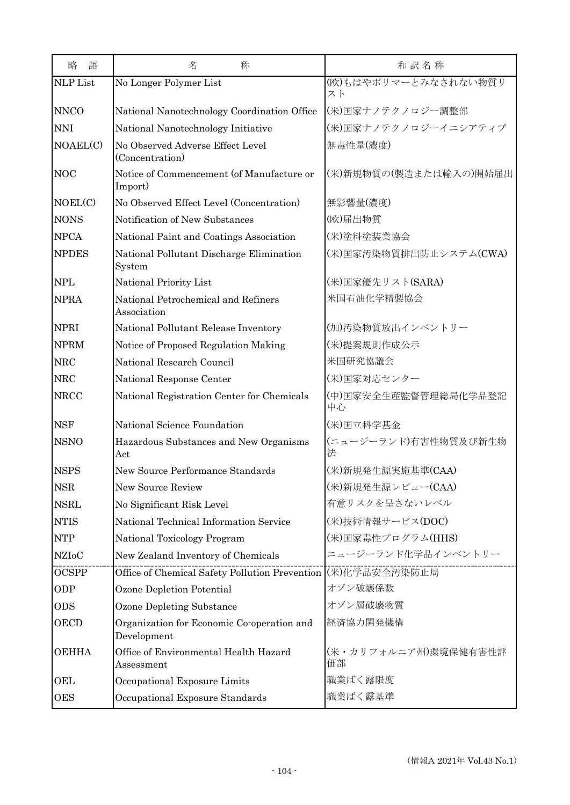| 語<br>略          | 名<br>称                                                       | 和訳名称                       |
|-----------------|--------------------------------------------------------------|----------------------------|
| <b>NLP</b> List | No Longer Polymer List                                       | (欧)もはやポリマーとみなされない物質リ<br>スト |
| <b>NNCO</b>     | National Nanotechnology Coordination Office                  | (米)国家ナノテクノロジー調整部           |
| <b>NNI</b>      | National Nanotechnology Initiative                           | (米)国家ナノテクノロジーイニシアティブ       |
| NOAEL(C)        | No Observed Adverse Effect Level<br>(Concentration)          | 無毒性量(濃度)                   |
| <b>NOC</b>      | Notice of Commencement (of Manufacture or<br>Import)         | (米)新規物質の(製造または輸入の)開始届出     |
| NOEL(C)         | No Observed Effect Level (Concentration)                     | 無影響量(濃度)                   |
| <b>NONS</b>     | Notification of New Substances                               | (欧)届出物質                    |
| <b>NPCA</b>     | National Paint and Coatings Association                      | (米)塗料塗装業協会                 |
| <b>NPDES</b>    | National Pollutant Discharge Elimination<br>System           | (米)国家汚染物質排出防止システム(CWA)     |
| <b>NPL</b>      | National Priority List                                       | (米)国家優先リスト(SARA)           |
| <b>NPRA</b>     | National Petrochemical and Refiners<br>Association           | 米国石油化学精製協会                 |
| <b>NPRI</b>     | National Pollutant Release Inventory                         | (加)汚染物質放出インベントリー           |
| <b>NPRM</b>     | Notice of Proposed Regulation Making                         | (米)提案規則作成公示                |
| <b>NRC</b>      | National Research Council                                    | 米国研究協議会                    |
| <b>NRC</b>      | National Response Center                                     | (米)国家対応センター                |
| <b>NRCC</b>     | National Registration Center for Chemicals                   | (中)国家安全生産監督管理総局化学品登記<br>中心 |
| <b>NSF</b>      | National Science Foundation                                  | (米)国立科学基金                  |
| <b>NSNO</b>     | Hazardous Substances and New Organisms<br>Act                | (ニュージーランド)有害性物質及び新生物<br>法  |
| <b>NSPS</b>     | New Source Performance Standards                             | (米)新規発生源実施基準(CAA)          |
| <b>NSR</b>      | New Source Review                                            | (米)新規発生源レビュー(CAA)          |
| <b>NSRL</b>     | No Significant Risk Level                                    | 有意リスクを呈さないレベル              |
| <b>NTIS</b>     | National Technical Information Service                       | (米)技術情報サービス(DOC)           |
| <b>NTP</b>      | National Toxicology Program                                  | (米)国家毒性プログラム(HHS)          |
| <b>NZIoC</b>    | New Zealand Inventory of Chemicals                           | ニュージーランド化学品インベントリー         |
| OCSPP           | Office of Chemical Safety Pollution Prevention (米)化学品安全汚染防止局 |                            |
| ODP             | Ozone Depletion Potential                                    | オゾン破壊係数                    |
| <b>ODS</b>      | <b>Ozone Depleting Substance</b>                             | オゾン層破壊物質                   |
| OECD            | Organization for Economic Co-operation and<br>Development    | 経済協力開発機構                   |
| <b>OEHHA</b>    | Office of Environmental Health Hazard<br>Assessment          | (米・カリフォルニア州)環境保健有害性評<br>価部 |
| OEL             | Occupational Exposure Limits                                 | 職業ばく露限度                    |
| <b>OES</b>      | Occupational Exposure Standards                              | 職業ばく露基準                    |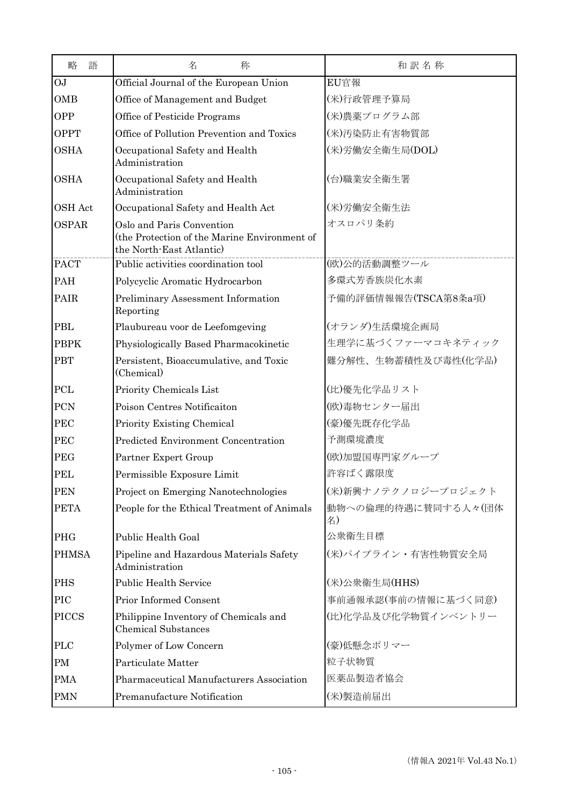| 略<br>語       | 名<br>称                                                                                                | 和訳名称                      |
|--------------|-------------------------------------------------------------------------------------------------------|---------------------------|
| <b>OJ</b>    | Official Journal of the European Union                                                                | EU官報                      |
| <b>OMB</b>   | Office of Management and Budget                                                                       | (米)行政管理予算局                |
| <b>OPP</b>   | Office of Pesticide Programs                                                                          | (米)農薬プログラム部               |
| <b>OPPT</b>  | Office of Pollution Prevention and Toxics                                                             | (米)汚染防止有害物質部              |
| <b>OSHA</b>  | Occupational Safety and Health<br>Administration                                                      | (米)労働安全衛生局(DOL)           |
| <b>OSHA</b>  | Occupational Safety and Health<br>Administration                                                      | (台)職業安全衛生署                |
| OSH Act      | Occupational Safety and Health Act                                                                    | (米)労働安全衛生法                |
| <b>OSPAR</b> | Oslo and Paris Convention<br>(the Protection of the Marine Environment of<br>the North-East Atlantic) | オスロパリ条約                   |
| <b>PACT</b>  | Public activities coordination tool                                                                   | (欧)公的活動調整ツール              |
| <b>PAH</b>   | Polycyclic Aromatic Hydrocarbon                                                                       | 多環式芳香族炭化水素                |
| PAIR         | Preliminary Assessment Information<br>Reporting                                                       | 予備的評価情報報告(TSCA第8条a項)      |
| PBL          | Plaubureau voor de Leefomgeving                                                                       | (オランダ)生活環境企画局             |
| <b>PBPK</b>  | Physiologically Based Pharmacokinetic                                                                 | 生理学に基づくファーマコキネティック        |
| <b>PBT</b>   | Persistent, Bioaccumulative, and Toxic<br>(Chemical)                                                  | 難分解性、生物蓄積性及び毒性(化学品)       |
| PCL          | Priority Chemicals List                                                                               | (比)優先化学品リスト               |
| PCN          | Poison Centres Notificaiton                                                                           | (欧)毒物センター届出               |
| <b>PEC</b>   | Priority Existing Chemical                                                                            | (豪)優先既存化学品                |
| <b>PEC</b>   | Predicted Environment Concentration                                                                   | 予測環境濃度                    |
| <b>PEG</b>   | Partner Expert Group                                                                                  | (欧)加盟国専門家グループ             |
| <b>PEL</b>   | Permissible Exposure Limit                                                                            | 許容ばく露限度                   |
| <b>PEN</b>   | Project on Emerging Nanotechnologies                                                                  | (米)新興ナノテクノロジープロジェクト       |
| <b>PETA</b>  | People for the Ethical Treatment of Animals                                                           | 動物への倫理的待遇に賛同する人々(団体<br>名) |
| PHG          | Public Health Goal                                                                                    | 公衆衛生目標                    |
| <b>PHMSA</b> | Pipeline and Hazardous Materials Safety<br>Administration                                             | (米)パイプライン・有害性物質安全局        |
| <b>PHS</b>   | <b>Public Health Service</b>                                                                          | (米)公衆衛生局(HHS)             |
| PIC          | Prior Informed Consent                                                                                | 事前通報承認(事前の情報に基づく同意)       |
| <b>PICCS</b> | Philippine Inventory of Chemicals and<br><b>Chemical Substances</b>                                   | (比)化学品及び化学物質インベントリー       |
| <b>PLC</b>   | Polymer of Low Concern                                                                                | (豪)低懸念ポリマー                |
| <b>PM</b>    | Particulate Matter                                                                                    | 粒子状物質                     |
| <b>PMA</b>   | Pharmaceutical Manufacturers Association                                                              | 医薬品製造者協会                  |
| <b>PMN</b>   | Premanufacture Notification                                                                           | (米)製造前届出                  |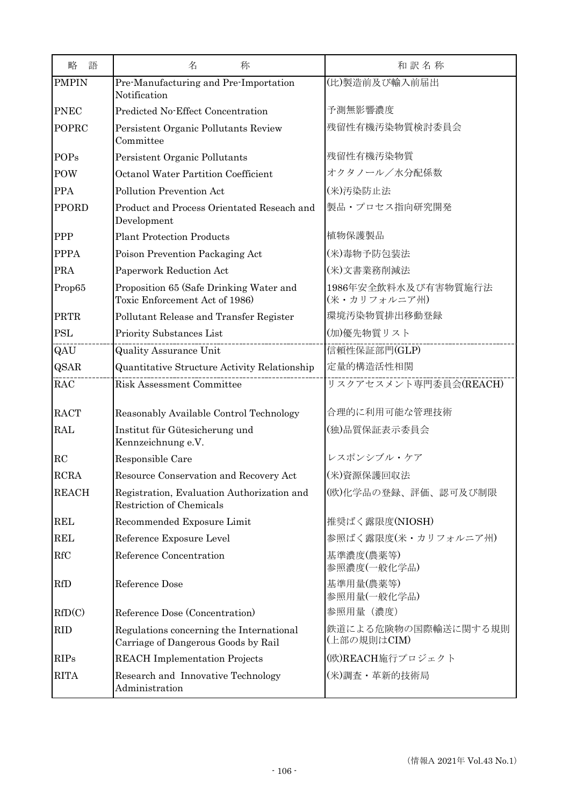| 語<br>略       | 名<br>称                                                                          | 和訳名称                                |
|--------------|---------------------------------------------------------------------------------|-------------------------------------|
| <b>PMPIN</b> | Pre-Manufacturing and Pre-Importation<br>Notification                           | (比)製造前及び輸入前届出                       |
| <b>PNEC</b>  | Predicted No-Effect Concentration                                               | 予測無影響濃度                             |
| POPRC        | Persistent Organic Pollutants Review<br>Committee                               | 残留性有機汚染物質検討委員会                      |
| <b>POPs</b>  | Persistent Organic Pollutants                                                   | 残留性有機汚染物質                           |
| POW          | <b>Octanol Water Partition Coefficient</b>                                      | オクタノール/水分配係数                        |
| <b>PPA</b>   | Pollution Prevention Act                                                        | (米)汚染防止法                            |
| <b>PPORD</b> | Product and Process Orientated Reseach and<br>Development                       | 製品・プロセス指向研究開発                       |
| PPP          | <b>Plant Protection Products</b>                                                | 植物保護製品                              |
| <b>PPPA</b>  | Poison Prevention Packaging Act                                                 | (米)毒物予防包装法                          |
| <b>PRA</b>   | Paperwork Reduction Act                                                         | (米)文書業務削減法                          |
| Prop65       | Proposition 65 (Safe Drinking Water and<br>Toxic Enforcement Act of 1986)       | 1986年安全飲料水及び有害物質施行法<br>(米・カリフォルニア州) |
| PRTR         | Pollutant Release and Transfer Register                                         | 環境汚染物質排出移動登録                        |
| <b>PSL</b>   | Priority Substances List                                                        | (加)優先物質リスト                          |
| QAU          | <b>Quality Assurance Unit</b>                                                   | 信頼性保証部門(GLP)                        |
| <b>QSAR</b>  | Quantitative Structure Activity Relationship                                    | 定量的構造活性相関                           |
| RAC          | <b>Risk Assessment Committee</b>                                                | リスクアセスメント専門委員会(REACH)               |
| <b>RACT</b>  | Reasonably Available Control Technology                                         | 合理的に利用可能な管理技術                       |
| <b>RAL</b>   | Institut für Gütesicherung und<br>Kennzeichnung e.V.                            | (独)品質保証表示委員会                        |
| RC           | Responsible Care                                                                | レスポンシブル・ケア                          |
| <b>RCRA</b>  | Resource Conservation and Recovery Act                                          | (米)資源保護回収法                          |
| <b>REACH</b> | Registration, Evaluation Authorization and<br>Restriction of Chemicals          | (欧)化学品の登録、評価、認可及び制限                 |
| <b>REL</b>   | Recommended Exposure Limit                                                      | 推奨ばく露限度(NIOSH)                      |
| <b>REL</b>   | Reference Exposure Level                                                        | 参照ばく露限度(米・カリフォルニア州)                 |
| RfC          | Reference Concentration                                                         | 基準濃度(農薬等)<br>参照濃度(一般化学品)            |
| <b>RfD</b>   | Reference Dose                                                                  | 基準用量(農薬等)<br>参照用量(一般化学品)            |
| RfD(C)       | Reference Dose (Concentration)                                                  | 参照用量 (濃度)                           |
| <b>RID</b>   | Regulations concerning the International<br>Carriage of Dangerous Goods by Rail | 鉄道による危険物の国際輸送に関する規則<br>(上部の規則はCIM)  |
| <b>RIPs</b>  | <b>REACH</b> Implementation Projects                                            | (欧)REACH施行プロジェクト                    |
| <b>RITA</b>  | Research and Innovative Technology<br>Administration                            | (米)調査 · 革新的技術局                      |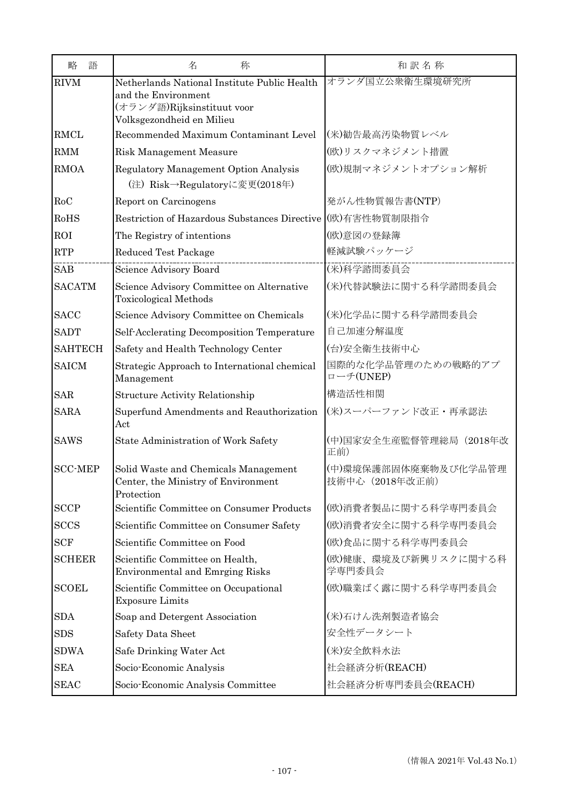| 語<br>略         | 名<br>称                                                                                                                         | 和訳名称                                    |
|----------------|--------------------------------------------------------------------------------------------------------------------------------|-----------------------------------------|
| <b>RIVM</b>    | Netherlands National Institute Public Health<br>and the Environment<br>(オランダ語)Rijksinstituut voor<br>Volksgezondheid en Milieu | オランダ国立公衆衛生環境研究所                         |
| <b>RMCL</b>    | Recommended Maximum Contaminant Level                                                                                          | (米)勧告最高汚染物質レベル                          |
| <b>RMM</b>     | Risk Management Measure                                                                                                        | (欧)リスクマネジメント措置                          |
| <b>RMOA</b>    | <b>Regulatory Management Option Analysis</b><br>(注) Risk→Regulatoryに変更(2018年)                                                  | (欧)規制マネジメントオプション解析                      |
| RoC            | Report on Carcinogens                                                                                                          | 発がん性物質報告書(NTP)                          |
| RoHS           | Restriction of Hazardous Substances Directive ((欧)有害性物質制限指令                                                                    |                                         |
| <b>ROI</b>     | The Registry of intentions                                                                                                     | (欧)意図の登録簿                               |
| <b>RTP</b>     | Reduced Test Package                                                                                                           | 軽減試験パッケージ                               |
| <b>SAB</b>     | Science Advisory Board                                                                                                         | (米)科学諮問委員会                              |
| <b>SACATM</b>  | Science Advisory Committee on Alternative<br><b>Toxicological Methods</b>                                                      | (米)代替試験法に関する科学諮問委員会                     |
| <b>SACC</b>    | Science Advisory Committee on Chemicals                                                                                        | (米)化学品に関する科学諮問委員会                       |
| <b>SADT</b>    | Self-Acclerating Decomposition Temperature                                                                                     | 自己加速分解温度                                |
| <b>SAHTECH</b> | Safety and Health Technology Center                                                                                            | (台)安全衛生技術中心                             |
| <b>SAICM</b>   | Strategic Approach to International chemical<br>Management                                                                     | 国際的な化学品管理のための戦略的アプ<br>ローチ(UNEP)         |
| <b>SAR</b>     | <b>Structure Activity Relationship</b>                                                                                         | 構造活性相関                                  |
| <b>SARA</b>    | Superfund Amendments and Reauthorization<br>Act                                                                                | (米)スーパーファンド改正・再承認法                      |
| <b>SAWS</b>    | State Administration of Work Safety                                                                                            | (中)国家安全生産監督管理総局 (2018年改<br>正前)          |
| <b>SCC-MEP</b> | Solid Waste and Chemicals Management<br>Center, the Ministry of Environment<br>Protection                                      | (中)環境保護部固体廃棄物及び化学品管理<br>技術中心 (2018年改正前) |
| <b>SCCP</b>    | Scientific Committee on Consumer Products                                                                                      | (欧)消費者製品に関する科学専門委員会                     |
| <b>SCCS</b>    | Scientific Committee on Consumer Safety                                                                                        | (欧)消費者安全に関する科学専門委員会                     |
| <b>SCF</b>     | Scientific Committee on Food                                                                                                   | (欧)食品に関する科学専門委員会                        |
| <b>SCHEER</b>  | Scientific Committee on Health,<br><b>Environmental and Emrging Risks</b>                                                      | (欧)健康、環境及び新興リスクに関する科<br>学専門委員会          |
| <b>SCOEL</b>   | Scientific Committee on Occupational<br><b>Exposure Limits</b>                                                                 | (欧)職業ばく露に関する科学専門委員会                     |
| <b>SDA</b>     | Soap and Detergent Association                                                                                                 | (米)石けん洗剤製造者協会                           |
| <b>SDS</b>     | Safety Data Sheet                                                                                                              | 安全性データシート                               |
| <b>SDWA</b>    | Safe Drinking Water Act                                                                                                        | (米)安全飲料水法                               |
| <b>SEA</b>     | Socio-Economic Analysis                                                                                                        | 社会経済分析(REACH)                           |
| <b>SEAC</b>    | Socio-Economic Analysis Committee                                                                                              | 社会経済分析専門委員会(REACH)                      |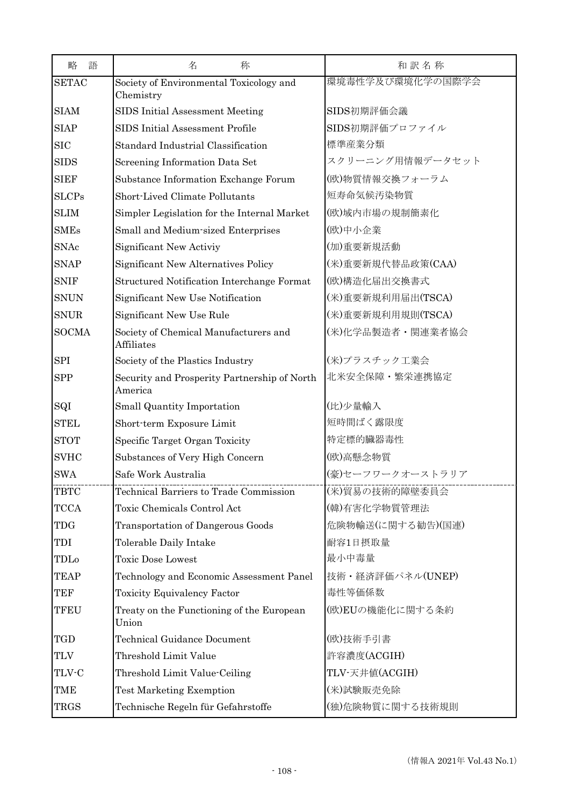| 語<br>略       | 名<br>称                                                     | 和訳名称              |
|--------------|------------------------------------------------------------|-------------------|
| <b>SETAC</b> | Society of Environmental Toxicology and<br>Chemistry       | 環境毒性学及び環境化学の国際学会  |
| <b>SIAM</b>  | SIDS Initial Assessment Meeting                            | SIDS初期評価会議        |
| <b>SIAP</b>  | SIDS Initial Assessment Profile                            | SIDS初期評価プロファイル    |
| <b>SIC</b>   | Standard Industrial Classification                         | 標準産業分類            |
| <b>SIDS</b>  | Screening Information Data Set                             | スクリーニング用情報データセット  |
| <b>SIEF</b>  | Substance Information Exchange Forum                       | (欧)物質情報交換フォーラム    |
| <b>SLCPs</b> | Short-Lived Climate Pollutants                             | 短寿命気候汚染物質         |
| <b>SLIM</b>  | Simpler Legislation for the Internal Market                | (欧)域内市場の規制簡素化     |
| <b>SMEs</b>  | Small and Medium-sized Enterprises                         | (欧)中小企業           |
| <b>SNAc</b>  | Significant New Activiy                                    | (加)重要新規活動         |
| <b>SNAP</b>  | Significant New Alternatives Policy                        | (米)重要新規代替品政策(CAA) |
| <b>SNIF</b>  | Structured Notification Interchange Format                 | (欧)構造化届出交換書式      |
| <b>SNUN</b>  | Significant New Use Notification                           | (米)重要新規利用届出(TSCA) |
| <b>SNUR</b>  | Significant New Use Rule                                   | (米)重要新規利用規則(TSCA) |
| <b>SOCMA</b> | Society of Chemical Manufacturers and<br><b>Affiliates</b> | (米)化学品製造者・関連業者協会  |
| <b>SPI</b>   | Society of the Plastics Industry                           | (米)プラスチック工業会      |
| <b>SPP</b>   | Security and Prosperity Partnership of North<br>America    | 北米安全保障・繁栄連携協定     |
| SQI          | Small Quantity Importation                                 | (比)少量輸入           |
| <b>STEL</b>  | Short-term Exposure Limit                                  | 短時間ばく露限度          |
| <b>STOT</b>  | Specific Target Organ Toxicity                             | 特定標的臟器毒性          |
| <b>SVHC</b>  | Substances of Very High Concern                            | (欧)高懸念物質          |
| <b>SWA</b>   | Safe Work Australia                                        | (豪)セーフワークオーストラリア  |
| <b>TBTC</b>  | Technical Barriers to Trade Commission                     | (米)貿易の技術的障壁委員会    |
| <b>TCCA</b>  | Toxic Chemicals Control Act                                | (韓)有害化学物質管理法      |
| <b>TDG</b>   | Transportation of Dangerous Goods                          | 危険物輸送(に関する勧告)(国連) |
| TDI          | Tolerable Daily Intake                                     | 耐容1日摂取量           |
| TDLo         | <b>Toxic Dose Lowest</b>                                   | 最小中毒量             |
| <b>TEAP</b>  | Technology and Economic Assessment Panel                   | 技術·経済評価パネル(UNEP)  |
| <b>TEF</b>   | <b>Toxicity Equivalency Factor</b>                         | 毒性等価係数            |
| <b>TFEU</b>  | Treaty on the Functioning of the European<br>Union         | (欧)EUの機能化に関する条約   |
| <b>TGD</b>   | Technical Guidance Document                                | (欧)技術手引書          |
| <b>TLV</b>   | Threshold Limit Value                                      | 許容濃度(ACGIH)       |
| TLV-C        | Threshold Limit Value-Ceiling                              | TLV-天井値(ACGIH)    |
| TME          | <b>Test Marketing Exemption</b>                            | (米)試験販売免除         |
| <b>TRGS</b>  | Technische Regeln für Gefahrstoffe                         | (独)危険物質に関する技術規則   |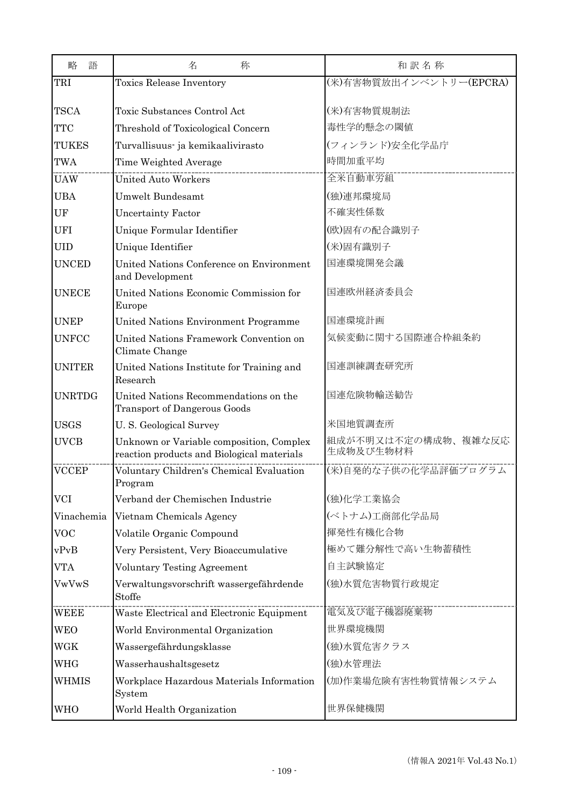| 略<br>語        | 名<br>称                                                                                 | 和訳名称                             |
|---------------|----------------------------------------------------------------------------------------|----------------------------------|
| TRI           | <b>Toxics Release Inventory</b>                                                        | (米)有害物質放出インベントリー(EPCRA)          |
|               |                                                                                        |                                  |
| <b>TSCA</b>   | Toxic Substances Control Act                                                           | (米)有害物質規制法                       |
| <b>TTC</b>    | Threshold of Toxicological Concern                                                     | 毒性学的懸念の閾値                        |
| <b>TUKES</b>  | Turvallisuus- ja kemikaalivirasto                                                      | (フィンランド)安全化学品庁                   |
| <b>TWA</b>    | Time Weighted Average                                                                  | 時間加重平均                           |
| <b>UAW</b>    | United Auto Workers                                                                    | 全米自動車労組                          |
| <b>UBA</b>    | <b>Umwelt Bundesamt</b>                                                                | (独)連邦環境局                         |
| UF            | <b>Uncertainty Factor</b>                                                              | 不確実性係数                           |
| <b>UFI</b>    | Unique Formular Identifier                                                             | (欧)固有の配合識別子                      |
| <b>UID</b>    | Unique Identifier                                                                      | (米)固有識別子                         |
| <b>UNCED</b>  | United Nations Conference on Environment<br>and Development                            | 国連環境開発会議                         |
| <b>UNECE</b>  | United Nations Economic Commission for<br>Europe                                       | 国連欧州経済委員会                        |
| <b>UNEP</b>   | United Nations Environment Programme                                                   | 国連環境計画                           |
| <b>UNFCC</b>  | United Nations Framework Convention on<br>Climate Change                               | 気候変動に関する国際連合枠組条約                 |
| <b>UNITER</b> | United Nations Institute for Training and<br>Research                                  | 国連訓練調査研究所                        |
| <b>UNRTDG</b> | United Nations Recommendations on the<br><b>Transport of Dangerous Goods</b>           | 国連危険物輸送勧告                        |
| <b>USGS</b>   | U.S. Geological Survey                                                                 | 米国地質調査所                          |
| <b>UVCB</b>   | Unknown or Variable composition, Complex<br>reaction products and Biological materials | 組成が不明又は不定の構成物、複雑な反応<br>生成物及び生物材料 |
| <b>VCCEP</b>  | Voluntary Children's Chemical Evaluation<br>Program                                    | (米)自発的な子供の化学品評価プログラム             |
| <b>VCI</b>    | Verband der Chemischen Industrie                                                       | (独)化学工業協会                        |
| Vinachemia    | Vietnam Chemicals Agency                                                               | (ベトナム)工商部化学品局                    |
| <b>VOC</b>    | Volatile Organic Compound                                                              | 揮発性有機化合物                         |
| vPvB          | Very Persistent, Very Bioaccumulative                                                  | 極めて難分解性で高い生物蓄積性                  |
| VTA           | <b>Voluntary Testing Agreement</b>                                                     | 自主試験協定                           |
| VwVwS         | Verwaltungsvorschrift wassergefährdende<br>Stoffe                                      | (独)水質危害物質行政規定                    |
| <b>WEEE</b>   | Waste Electrical and Electronic Equipment                                              | 電気及び電子機器廃棄物                      |
| WEO           | World Environmental Organization                                                       | 世界環境機関                           |
| <b>WGK</b>    | Wassergefährdungsklasse                                                                | (独)水質危害クラス                       |
| WHG           | Wasserhaushaltsgesetz                                                                  | (独)水管理法                          |
| WHMIS         | Workplace Hazardous Materials Information<br>System                                    | (加)作業場危険有害性物質情報システム              |
| WHO           | World Health Organization                                                              | 世界保健機関                           |